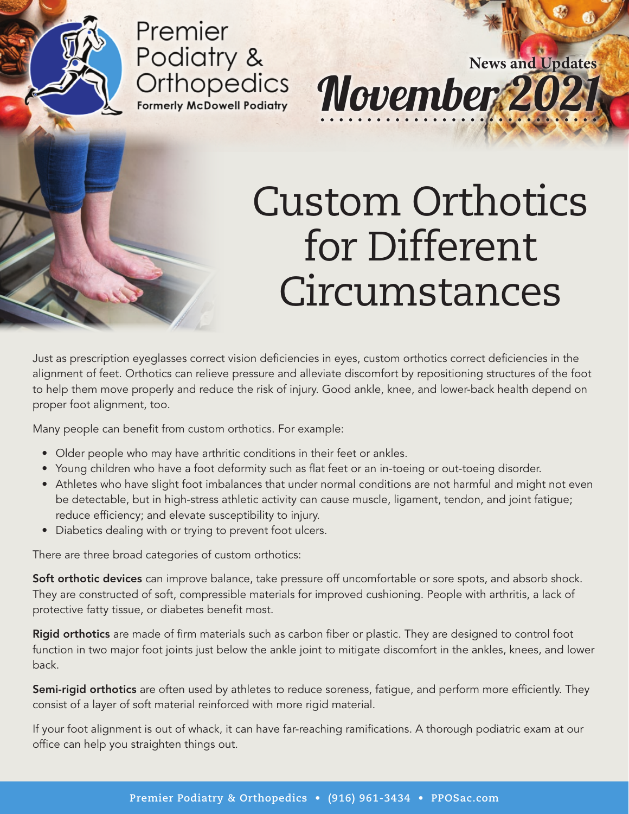#### Premier Podiatry & **Orthopedics Formerly McDowell Podiatry**

## Custom Orthotics for Different Circumstances

November 20

**News and Updates**

Just as prescription eyeglasses correct vision deficiencies in eyes, custom orthotics correct deficiencies in the alignment of feet. Orthotics can relieve pressure and alleviate discomfort by repositioning structures of the foot to help them move properly and reduce the risk of injury. Good ankle, knee, and lower-back health depend on proper foot alignment, too.

Many people can benefit from custom orthotics. For example:

- Older people who may have arthritic conditions in their feet or ankles.
- Young children who have a foot deformity such as flat feet or an in-toeing or out-toeing disorder.
- Athletes who have slight foot imbalances that under normal conditions are not harmful and might not even be detectable, but in high-stress athletic activity can cause muscle, ligament, tendon, and joint fatigue; reduce efficiency; and elevate susceptibility to injury.
- Diabetics dealing with or trying to prevent foot ulcers.

There are three broad categories of custom orthotics:

Soft orthotic devices can improve balance, take pressure off uncomfortable or sore spots, and absorb shock. They are constructed of soft, compressible materials for improved cushioning. People with arthritis, a lack of protective fatty tissue, or diabetes benefit most.

**Rigid orthotics** are made of firm materials such as carbon fiber or plastic. They are designed to control foot function in two major foot joints just below the ankle joint to mitigate discomfort in the ankles, knees, and lower back.

Semi-rigid orthotics are often used by athletes to reduce soreness, fatigue, and perform more efficiently. They consist of a layer of soft material reinforced with more rigid material.

If your foot alignment is out of whack, it can have far-reaching ramifications. A thorough podiatric exam at our office can help you straighten things out.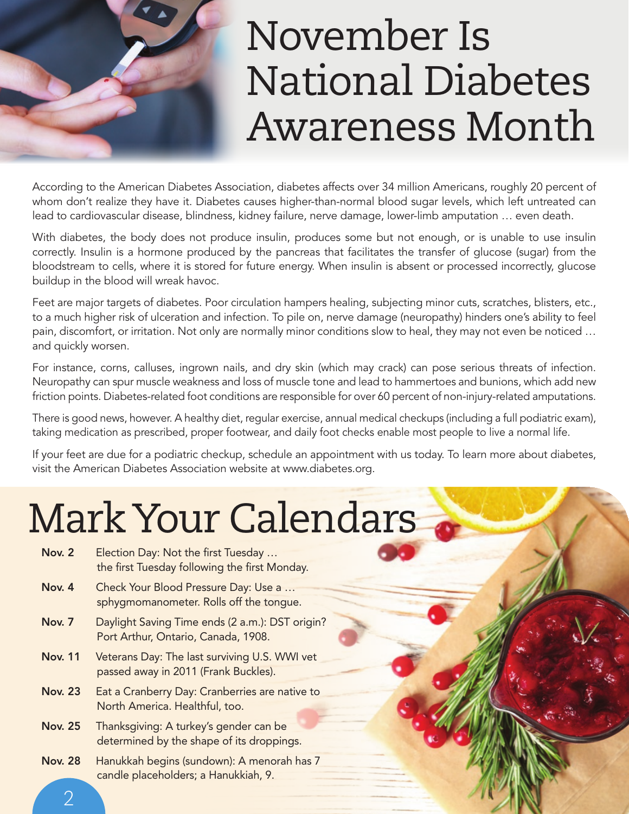

### November Is National Diabetes Awareness Month

According to the American Diabetes Association, diabetes affects over 34 million Americans, roughly 20 percent of whom don't realize they have it. Diabetes causes higher-than-normal blood sugar levels, which left untreated can lead to cardiovascular disease, blindness, kidney failure, nerve damage, lower-limb amputation … even death.

With diabetes, the body does not produce insulin, produces some but not enough, or is unable to use insulin correctly. Insulin is a hormone produced by the pancreas that facilitates the transfer of glucose (sugar) from the bloodstream to cells, where it is stored for future energy. When insulin is absent or processed incorrectly, glucose buildup in the blood will wreak havoc.

Feet are major targets of diabetes. Poor circulation hampers healing, subjecting minor cuts, scratches, blisters, etc., to a much higher risk of ulceration and infection. To pile on, nerve damage (neuropathy) hinders one's ability to feel pain, discomfort, or irritation. Not only are normally minor conditions slow to heal, they may not even be noticed … and quickly worsen.

For instance, corns, calluses, ingrown nails, and dry skin (which may crack) can pose serious threats of infection. Neuropathy can spur muscle weakness and loss of muscle tone and lead to hammertoes and bunions, which add new friction points. Diabetes-related foot conditions are responsible for over 60 percent of non-injury-related amputations.

There is good news, however. A healthy diet, regular exercise, annual medical checkups (including a full podiatric exam), taking medication as prescribed, proper footwear, and daily foot checks enable most people to live a normal life.

If your feet are due for a podiatric checkup, schedule an appointment with us today. To learn more about diabetes, visit the American Diabetes Association website at www.diabetes.org.

#### Mark Your Calendars

- Nov. 2 Election Day: Not the first Tuesday ... the first Tuesday following the first Monday.
- Nov. 4 Check Your Blood Pressure Day: Use a ... sphygmomanometer. Rolls off the tongue.
- Nov. 7 Daylight Saving Time ends (2 a.m.): DST origin? Port Arthur, Ontario, Canada, 1908.
- Nov. 11 Veterans Day: The last surviving U.S. WWI vet passed away in 2011 (Frank Buckles).
- Nov. 23 Eat a Cranberry Day: Cranberries are native to North America. Healthful, too.
- Nov. 25 Thanksgiving: A turkey's gender can be determined by the shape of its droppings.
- Nov. 28 Hanukkah begins (sundown): A menorah has 7 candle placeholders; a Hanukkiah, 9.

2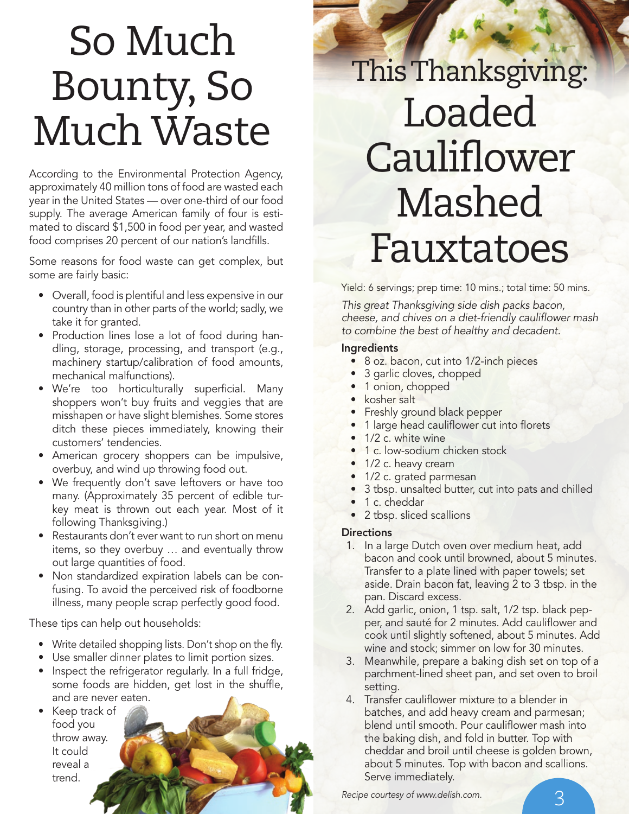### So Much Bounty, So Much Waste

According to the Environmental Protection Agency, approximately 40 million tons of food are wasted each year in the United States — over one-third of our food supply. The average American family of four is estimated to discard \$1,500 in food per year, and wasted food comprises 20 percent of our nation's landfills.

Some reasons for food waste can get complex, but some are fairly basic:

- Overall, food is plentiful and less expensive in our country than in other parts of the world; sadly, we take it for granted.
- Production lines lose a lot of food during handling, storage, processing, and transport (e.g., machinery startup/calibration of food amounts, mechanical malfunctions).
- We're too horticulturally superficial. Many shoppers won't buy fruits and veggies that are misshapen or have slight blemishes. Some stores ditch these pieces immediately, knowing their customers' tendencies.
- American grocery shoppers can be impulsive, overbuy, and wind up throwing food out.
- We frequently don't save leftovers or have too many. (Approximately 35 percent of edible turkey meat is thrown out each year. Most of it following Thanksgiving.)
- Restaurants don't ever want to run short on menu items, so they overbuy … and eventually throw out large quantities of food.
- Non standardized expiration labels can be confusing. To avoid the perceived risk of foodborne illness, many people scrap perfectly good food.

These tips can help out households:

- Write detailed shopping lists. Don't shop on the fly.
- Use smaller dinner plates to limit portion sizes.
- Inspect the refrigerator regularly. In a full fridge, some foods are hidden, get lost in the shuffle, and are never eaten.
- Keep track of food you throw away. It could reveal a trend.

#### This Thanksgiving: Loaded **Cauliflower** Mashed Fauxtatoes

Yield: 6 servings; prep time: 10 mins.; total time: 50 mins.

*This great Thanksgiving side dish packs bacon, cheese, and chives on a diet-friendly caulifl ower mash to combine the best of healthy and decadent.*

#### Ingredients

- 8 oz. bacon, cut into 1/2-inch pieces
- 3 garlic cloves, chopped
- 1 onion, chopped
- kosher salt
- Freshly ground black pepper
- 1 large head cauliflower cut into florets
- 1/2 c. white wine
- 1 c. low-sodium chicken stock
- 1/2 c. heavy cream
- 1/2 c. grated parmesan
- 3 tbsp. unsalted butter, cut into pats and chilled
- 1 c. cheddar
- 2 tbsp. sliced scallions

#### **Directions**

- 1. In a large Dutch oven over medium heat, add bacon and cook until browned, about 5 minutes. Transfer to a plate lined with paper towels; set aside. Drain bacon fat, leaving 2 to 3 tbsp. in the pan. Discard excess.
- 2. Add garlic, onion, 1 tsp. salt, 1/2 tsp. black pepper, and sauté for 2 minutes. Add cauliflower and cook until slightly softened, about 5 minutes. Add wine and stock; simmer on low for 30 minutes.
- 3. Meanwhile, prepare a baking dish set on top of a parchment-lined sheet pan, and set oven to broil setting.
- 4. Transfer cauliflower mixture to a blender in batches, and add heavy cream and parmesan; blend until smooth. Pour cauliflower mash into the baking dish, and fold in butter. Top with cheddar and broil until cheese is golden brown, about 5 minutes. Top with bacon and scallions. Serve immediately.

*Recipe courtesy of www.delish.com.*